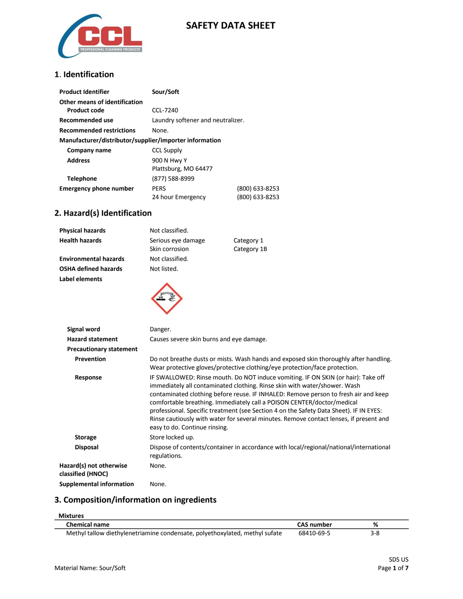

### **SAFETY DATA SHEET**

#### **1**. **Identification**

| <b>Product Identifier</b>                              | Sour/Soft                         |                |
|--------------------------------------------------------|-----------------------------------|----------------|
| Other means of identification<br>Product code          | $CCl - 7240$                      |                |
|                                                        |                                   |                |
| Recommended use                                        | Laundry softener and neutralizer. |                |
| <b>Recommended restrictions</b>                        | None.                             |                |
| Manufacturer/distributor/supplier/importer information |                                   |                |
| Company name                                           | <b>CCL Supply</b>                 |                |
| <b>Address</b>                                         | 900 N Hwy Y                       |                |
|                                                        | Plattsburg, MO 64477              |                |
| <b>Telephone</b>                                       | (877) 588-8999                    |                |
| <b>Emergency phone number</b>                          | <b>PERS</b>                       | (800) 633-8253 |
|                                                        | 24 hour Emergency                 | (800) 633-8253 |

### **2. Hazard(s) Identification**

| <b>Physical hazards</b>        | Not classified.                                                                                                                                                                                                                                                                                                                                                                                                                                                                                                                                      |                                                                                                                                                                     |
|--------------------------------|------------------------------------------------------------------------------------------------------------------------------------------------------------------------------------------------------------------------------------------------------------------------------------------------------------------------------------------------------------------------------------------------------------------------------------------------------------------------------------------------------------------------------------------------------|---------------------------------------------------------------------------------------------------------------------------------------------------------------------|
| <b>Health hazards</b>          | Serious eye damage                                                                                                                                                                                                                                                                                                                                                                                                                                                                                                                                   | Category 1                                                                                                                                                          |
|                                | Skin corrosion                                                                                                                                                                                                                                                                                                                                                                                                                                                                                                                                       | Category 1B                                                                                                                                                         |
| <b>Environmental hazards</b>   | Not classified.                                                                                                                                                                                                                                                                                                                                                                                                                                                                                                                                      |                                                                                                                                                                     |
| <b>OSHA defined hazards</b>    | Not listed.                                                                                                                                                                                                                                                                                                                                                                                                                                                                                                                                          |                                                                                                                                                                     |
| Label elements                 |                                                                                                                                                                                                                                                                                                                                                                                                                                                                                                                                                      |                                                                                                                                                                     |
| Signal word                    | Danger.                                                                                                                                                                                                                                                                                                                                                                                                                                                                                                                                              |                                                                                                                                                                     |
| <b>Hazard statement</b>        | Causes severe skin burns and eye damage.                                                                                                                                                                                                                                                                                                                                                                                                                                                                                                             |                                                                                                                                                                     |
| <b>Precautionary statement</b> |                                                                                                                                                                                                                                                                                                                                                                                                                                                                                                                                                      |                                                                                                                                                                     |
| Prevention                     |                                                                                                                                                                                                                                                                                                                                                                                                                                                                                                                                                      | Do not breathe dusts or mists. Wash hands and exposed skin thoroughly after handling.<br>Wear protective gloves/protective clothing/eye protection/face protection. |
| Response                       | IF SWALLOWED: Rinse mouth. Do NOT induce vomiting. IF ON SKIN (or hair): Take off<br>immediately all contaminated clothing. Rinse skin with water/shower. Wash<br>contaminated clothing before reuse. IF INHALED: Remove person to fresh air and keep<br>comfortable breathing. Immediately call a POISON CENTER/doctor/medical<br>professional. Specific treatment (see Section 4 on the Safety Data Sheet). IF IN EYES:<br>Rinse cautiously with water for several minutes. Remove contact lenses, if present and<br>easy to do. Continue rinsing. |                                                                                                                                                                     |
| <b>Storage</b>                 | Store locked up.                                                                                                                                                                                                                                                                                                                                                                                                                                                                                                                                     |                                                                                                                                                                     |
| <b>Disposal</b>                | regulations.                                                                                                                                                                                                                                                                                                                                                                                                                                                                                                                                         | Dispose of contents/container in accordance with local/regional/national/international                                                                              |

**Hazard(s) not otherwise classified (HNOC)** None. **Supplemental information** None.

### **3. Composition/information on ingredients**

| <b>Mixtures</b>                                                             |                   |     |  |
|-----------------------------------------------------------------------------|-------------------|-----|--|
| <b>Chemical name</b>                                                        | <b>CAS</b> number | %   |  |
| Methyl tallow diethylenetriamine condensate, polyethoxylated, methyl sufate | 68410-69-5        | 3-8 |  |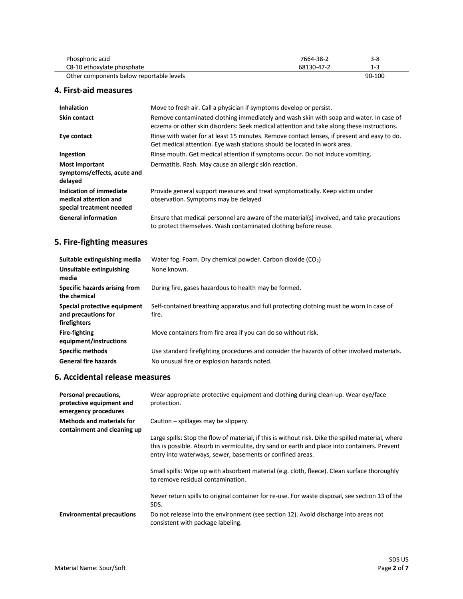| Phosphoric acid                          | 7664-38-2  | 3-8    |  |
|------------------------------------------|------------|--------|--|
| C8-10 ethoxylate phosphate               | 68130-47-2 | 1-3    |  |
| Other components below reportable levels |            | 90-100 |  |

#### **4. First-aid measures**

 $\overline{\phantom{a}}$ 

| <b>Inhalation</b>                                                            | Move to fresh air. Call a physician if symptoms develop or persist.                                                                                                                 |
|------------------------------------------------------------------------------|-------------------------------------------------------------------------------------------------------------------------------------------------------------------------------------|
| <b>Skin contact</b>                                                          | Remove contaminated clothing immediately and wash skin with soap and water. In case of<br>eczema or other skin disorders: Seek medical attention and take along these instructions. |
| Eye contact                                                                  | Rinse with water for at least 15 minutes. Remove contact lenses, if present and easy to do.<br>Get medical attention. Eye wash stations should be located in work area.             |
| Ingestion                                                                    | Rinse mouth. Get medical attention if symptoms occur. Do not induce vomiting.                                                                                                       |
| <b>Most important</b><br>symptoms/effects, acute and<br>delayed              | Dermatitis. Rash. May cause an allergic skin reaction.                                                                                                                              |
| Indication of immediate<br>medical attention and<br>special treatment needed | Provide general support measures and treat symptomatically. Keep victim under<br>observation. Symptoms may be delayed.                                                              |
| <b>General information</b>                                                   | Ensure that medical personnel are aware of the material(s) involved, and take precautions<br>to protect themselves. Wash contaminated clothing before reuse.                        |

### **5. Fire-fighting measures**

| Suitable extinguishing media                                        | Water fog. Foam. Dry chemical powder. Carbon dioxide (CO <sub>2</sub> )                          |
|---------------------------------------------------------------------|--------------------------------------------------------------------------------------------------|
| Unsuitable extinguishing<br>media                                   | None known.                                                                                      |
| Specific hazards arising from<br>the chemical                       | During fire, gases hazardous to health may be formed.                                            |
| Special protective equipment<br>and precautions for<br>firefighters | Self-contained breathing apparatus and full protecting clothing must be worn in case of<br>fire. |
| <b>Fire-fighting</b><br>equipment/instructions                      | Move containers from fire area if you can do so without risk.                                    |
| <b>Specific methods</b>                                             | Use standard firefighting procedures and consider the hazards of other involved materials.       |
| <b>General fire hazards</b>                                         | No unusual fire or explosion hazards noted.                                                      |

#### **6. Accidental release measures**

| Personal precautions,<br>protective equipment and<br>emergency procedures | Wear appropriate protective equipment and clothing during clean-up. Wear eye/face<br>protection.                                                                                                                                                                 |
|---------------------------------------------------------------------------|------------------------------------------------------------------------------------------------------------------------------------------------------------------------------------------------------------------------------------------------------------------|
| <b>Methods and materials for</b><br>containment and cleaning up           | Caution $-$ spillages may be slippery.                                                                                                                                                                                                                           |
|                                                                           | Large spills: Stop the flow of material, if this is without risk. Dike the spilled material, where<br>this is possible. Absorb in vermiculite, dry sand or earth and place into containers. Prevent<br>entry into waterways, sewer, basements or confined areas. |
|                                                                           | Small spills: Wipe up with absorbent material (e.g. cloth, fleece). Clean surface thoroughly<br>to remove residual contamination.                                                                                                                                |
|                                                                           | Never return spills to original container for re-use. For waste disposal, see section 13 of the<br>SDS.                                                                                                                                                          |
| <b>Environmental precautions</b>                                          | Do not release into the environment (see section 12). Avoid discharge into areas not<br>consistent with package labeling.                                                                                                                                        |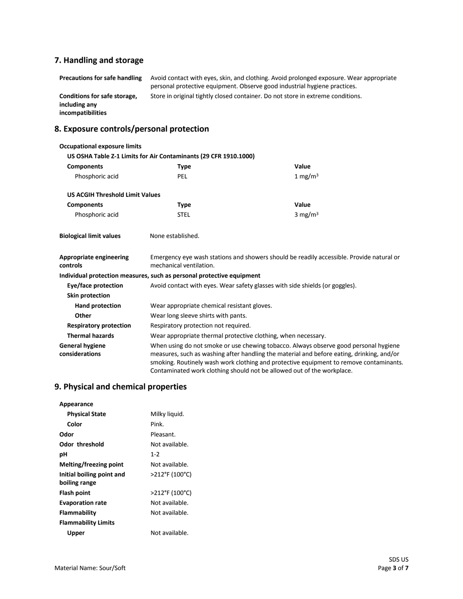# **7. Handling and storage**

| <b>Precautions for safe handling</b>                               | Avoid contact with eyes, skin, and clothing. Avoid prolonged exposure. Wear appropriate<br>personal protective equipment. Observe good industrial hygiene practices. |
|--------------------------------------------------------------------|----------------------------------------------------------------------------------------------------------------------------------------------------------------------|
| Conditions for safe storage,<br>including any<br>incompatibilities | Store in original tightly closed container. Do not store in extreme conditions.                                                                                      |

# **8. Exposure controls/personal protection**

| <b>Occupational exposure limits</b>        |                                                                                                                     |                                                                                                                                                                                                                                                                                                                                                       |
|--------------------------------------------|---------------------------------------------------------------------------------------------------------------------|-------------------------------------------------------------------------------------------------------------------------------------------------------------------------------------------------------------------------------------------------------------------------------------------------------------------------------------------------------|
|                                            | US OSHA Table Z-1 Limits for Air Contaminants (29 CFR 1910.1000)                                                    |                                                                                                                                                                                                                                                                                                                                                       |
| <b>Components</b>                          | <b>Type</b>                                                                                                         | Value                                                                                                                                                                                                                                                                                                                                                 |
| Phosphoric acid                            | PEL                                                                                                                 | 1 mg/m $3$                                                                                                                                                                                                                                                                                                                                            |
| <b>US ACGIH Threshold Limit Values</b>     |                                                                                                                     |                                                                                                                                                                                                                                                                                                                                                       |
| <b>Components</b>                          | <b>Type</b>                                                                                                         | Value                                                                                                                                                                                                                                                                                                                                                 |
| Phosphoric acid                            | <b>STEL</b>                                                                                                         | 3 mg/m $3$                                                                                                                                                                                                                                                                                                                                            |
| <b>Biological limit values</b>             | None established.                                                                                                   |                                                                                                                                                                                                                                                                                                                                                       |
| <b>Appropriate engineering</b><br>controls | Emergency eye wash stations and showers should be readily accessible. Provide natural or<br>mechanical ventilation. |                                                                                                                                                                                                                                                                                                                                                       |
|                                            | Individual protection measures, such as personal protective equipment                                               |                                                                                                                                                                                                                                                                                                                                                       |
| Eye/face protection                        | Avoid contact with eyes. Wear safety glasses with side shields (or goggles).                                        |                                                                                                                                                                                                                                                                                                                                                       |
| Skin protection                            |                                                                                                                     |                                                                                                                                                                                                                                                                                                                                                       |
| <b>Hand protection</b>                     | Wear appropriate chemical resistant gloves.                                                                         |                                                                                                                                                                                                                                                                                                                                                       |
| Other                                      | Wear long sleeve shirts with pants.                                                                                 |                                                                                                                                                                                                                                                                                                                                                       |
| <b>Respiratory protection</b>              | Respiratory protection not required.                                                                                |                                                                                                                                                                                                                                                                                                                                                       |
| <b>Thermal hazards</b>                     | Wear appropriate thermal protective clothing, when necessary.                                                       |                                                                                                                                                                                                                                                                                                                                                       |
| <b>General hygiene</b><br>considerations   |                                                                                                                     | When using do not smoke or use chewing tobacco. Always observe good personal hygiene<br>measures, such as washing after handling the material and before eating, drinking, and/or<br>smoking. Routinely wash work clothing and protective equipment to remove contaminants.<br>Contaminated work clothing should not be allowed out of the workplace. |

### **9. Physical and chemical properties**

| Appearance                                 |                |
|--------------------------------------------|----------------|
| <b>Physical State</b>                      | Milky liquid.  |
| Color                                      | Pink.          |
| Odor                                       | Pleasant.      |
| Odor threshold                             | Not available. |
| рH                                         | $1 - 2$        |
| Melting/freezing point                     | Not available. |
| Initial boiling point and<br>boiling range | >212°F (100°C) |
| Flash point                                | >212°F (100°C) |
| <b>Evaporation rate</b>                    | Not available. |
| Flammability                               | Not available. |
| <b>Flammability Limits</b>                 |                |
| Upper                                      | Not available. |
|                                            |                |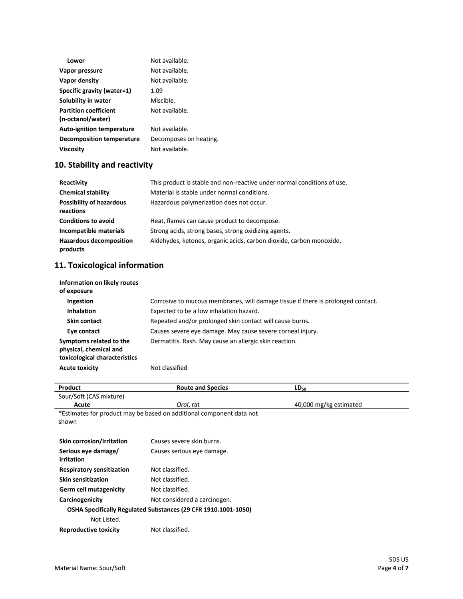| Lower                                             | Not available.         |
|---------------------------------------------------|------------------------|
| Vapor pressure                                    | Not available.         |
| Vapor density                                     | Not available.         |
| Specific gravity (water=1)                        | 1.09                   |
| Solubility in water                               | Miscible.              |
| <b>Partition coefficient</b><br>(n-octanol/water) | Not available.         |
| <b>Auto-ignition temperature</b>                  | Not available.         |
| Decomposition temperature                         | Decomposes on heating. |
| <b>Viscosity</b>                                  | Not available.         |

# **10. Stability and reactivity**

| Reactivity                                   | This product is stable and non-reactive under normal conditions of use. |
|----------------------------------------------|-------------------------------------------------------------------------|
| <b>Chemical stability</b>                    | Material is stable under normal conditions.                             |
| <b>Possibility of hazardous</b><br>reactions | Hazardous polymerization does not occur.                                |
| <b>Conditions to avoid</b>                   | Heat, flames can cause product to decompose.                            |
| Incompatible materials                       | Strong acids, strong bases, strong oxidizing agents.                    |
| <b>Hazardous decomposition</b><br>products   | Aldehydes, ketones, organic acids, carbon dioxide, carbon monoxide.     |

# **11. Toxicological information**

| Information on likely routes<br>of exposure                                        |                                                                                  |
|------------------------------------------------------------------------------------|----------------------------------------------------------------------------------|
| Ingestion                                                                          | Corrosive to mucous membranes, will damage tissue if there is prolonged contact. |
| <b>Inhalation</b>                                                                  | Expected to be a low inhalation hazard.                                          |
| Skin contact                                                                       | Repeated and/or prolonged skin contact will cause burns.                         |
| Eye contact                                                                        | Causes severe eye damage. May cause severe corneal injury.                       |
| Symptoms related to the<br>physical, chemical and<br>toxicological characteristics | Dermatitis. Rash. May cause an allergic skin reaction.                           |
| <b>Acute toxicity</b>                                                              | Not classified                                                                   |

| Product                                                              | <b>Route and Species</b>     | $LD_{50}$              |
|----------------------------------------------------------------------|------------------------------|------------------------|
| Sour/Soft (CAS mixture)                                              |                              |                        |
| Acute                                                                | Oral, rat                    | 40,000 mg/kg estimated |
| *Estimates for product may be based on additional component data not |                              |                        |
| shown                                                                |                              |                        |
|                                                                      |                              |                        |
| <b>Skin corrosion/irritation</b>                                     | Causes severe skin burns.    |                        |
| Serious eye damage/                                                  | Causes serious eye damage.   |                        |
| irritation                                                           |                              |                        |
| <b>Respiratory sensitization</b>                                     | Not classified.              |                        |
| <b>Skin sensitization</b>                                            | Not classified.              |                        |
| <b>Germ cell mutagenicity</b>                                        | Not classified.              |                        |
| Carcinogenicity                                                      | Not considered a carcinogen. |                        |
| OSHA Specifically Regulated Substances (29 CFR 1910.1001-1050)       |                              |                        |
| Not Listed.                                                          |                              |                        |
| <b>Reproductive toxicity</b>                                         | Not classified.              |                        |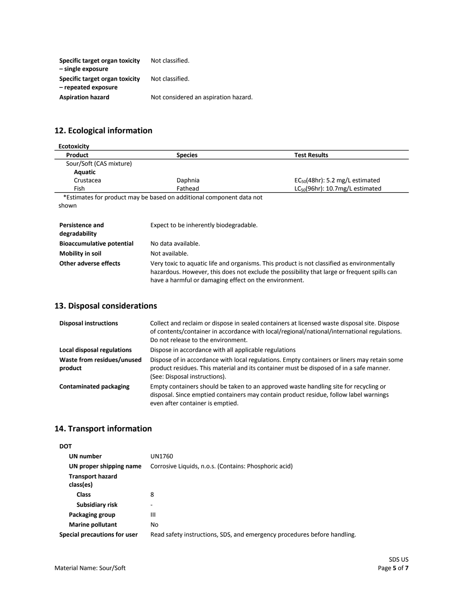| Specific target organ toxicity | Not classified.                      |
|--------------------------------|--------------------------------------|
| - single exposure              |                                      |
| Specific target organ toxicity | Not classified.                      |
| - repeated exposure            |                                      |
| <b>Aspiration hazard</b>       | Not considered an aspiration hazard. |

# **12. Ecological information**

| <b>Ecotoxicity</b>                      |                                                                                                                                                                                                                                                     |                                      |
|-----------------------------------------|-----------------------------------------------------------------------------------------------------------------------------------------------------------------------------------------------------------------------------------------------------|--------------------------------------|
| Product                                 | <b>Species</b>                                                                                                                                                                                                                                      | <b>Test Results</b>                  |
| Sour/Soft (CAS mixture)                 |                                                                                                                                                                                                                                                     |                                      |
| Aquatic                                 |                                                                                                                                                                                                                                                     |                                      |
| Crustacea                               | Daphnia                                                                                                                                                                                                                                             | $EC_{50}(48hr)$ : 5.2 mg/L estimated |
| Fish                                    | Fathead                                                                                                                                                                                                                                             | $LC_{50}(96hr)$ : 10.7mg/L estimated |
| shown                                   | *Estimates for product may be based on additional component data not                                                                                                                                                                                |                                      |
| <b>Persistence and</b><br>degradability | Expect to be inherently biodegradable.                                                                                                                                                                                                              |                                      |
| <b>Bioaccumulative potential</b>        | No data available.                                                                                                                                                                                                                                  |                                      |
| <b>Mobility in soil</b>                 | Not available.                                                                                                                                                                                                                                      |                                      |
| Other adverse effects                   | Very toxic to aquatic life and organisms. This product is not classified as environmentally<br>hazardous. However, this does not exclude the possibility that large or frequent spills can<br>have a harmful or damaging effect on the environment. |                                      |

### **13. Disposal considerations**

| <b>Disposal instructions</b>          | Collect and reclaim or dispose in sealed containers at licensed waste disposal site. Dispose<br>of contents/container in accordance with local/regional/national/international regulations.<br>Do not release to the environment. |
|---------------------------------------|-----------------------------------------------------------------------------------------------------------------------------------------------------------------------------------------------------------------------------------|
| Local disposal regulations            | Dispose in accordance with all applicable regulations                                                                                                                                                                             |
| Waste from residues/unused<br>product | Dispose of in accordance with local regulations. Empty containers or liners may retain some<br>product residues. This material and its container must be disposed of in a safe manner.<br>(See: Disposal instructions).           |
| <b>Contaminated packaging</b>         | Empty containers should be taken to an approved waste handling site for recycling or<br>disposal. Since emptied containers may contain product residue, follow label warnings<br>even after container is emptied.                 |

### **14. Transport information**

| <b>DOT</b>                           |                                                                          |
|--------------------------------------|--------------------------------------------------------------------------|
| UN number                            | UN1760                                                                   |
| UN proper shipping name              | Corrosive Liquids, n.o.s. (Contains: Phosphoric acid)                    |
| <b>Transport hazard</b><br>class(es) |                                                                          |
| <b>Class</b>                         | 8                                                                        |
| Subsidiary risk                      |                                                                          |
| Packaging group                      | Ш                                                                        |
| <b>Marine pollutant</b>              | No                                                                       |
| Special precautions for user         | Read safety instructions, SDS, and emergency procedures before handling. |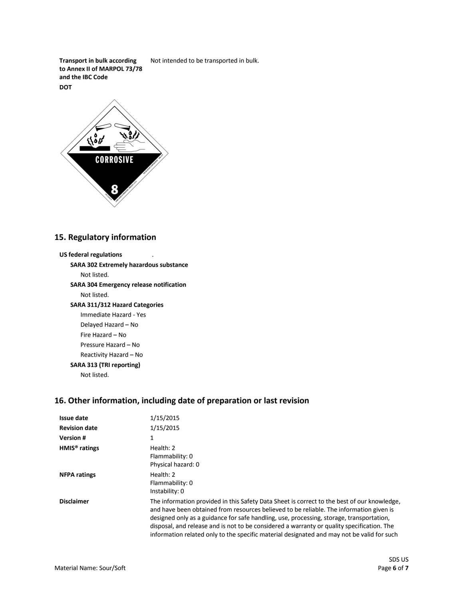**Transport in bulk according to Annex II of MARPOL 73/78 and the IBC Code** Not intended to be transported in bulk. **DOT**



#### **15. Regulatory information**

### **US federal regulations SARA 302 Extremely hazardous substance** Not listed. **SARA 304 Emergency release notification** Not listed. **SARA 311/312 Hazard Categories** Immediate Hazard - Yes Delayed Hazard – No Fire Hazard – No Pressure Hazard – No Reactivity Hazard – No **SARA 313 (TRI reporting)** Not listed.

### **16. Other information, including date of preparation or last revision**

| <b>Issue date</b>    | 1/15/2015                                                                                                                                                                                                                                                                                                                                                                                                                                                                      |
|----------------------|--------------------------------------------------------------------------------------------------------------------------------------------------------------------------------------------------------------------------------------------------------------------------------------------------------------------------------------------------------------------------------------------------------------------------------------------------------------------------------|
| <b>Revision date</b> | 1/15/2015                                                                                                                                                                                                                                                                                                                                                                                                                                                                      |
| <b>Version#</b>      | 1                                                                                                                                                                                                                                                                                                                                                                                                                                                                              |
| $HMIS®$ ratings      | Health: 2<br>Flammability: 0<br>Physical hazard: 0                                                                                                                                                                                                                                                                                                                                                                                                                             |
| <b>NFPA ratings</b>  | Health: 2<br>Flammability: 0<br>Instability: 0                                                                                                                                                                                                                                                                                                                                                                                                                                 |
| <b>Disclaimer</b>    | The information provided in this Safety Data Sheet is correct to the best of our knowledge,<br>and have been obtained from resources believed to be reliable. The information given is<br>designed only as a guidance for safe handling, use, processing, storage, transportation,<br>disposal, and release and is not to be considered a warranty or quality specification. The<br>information related only to the specific material designated and may not be valid for such |